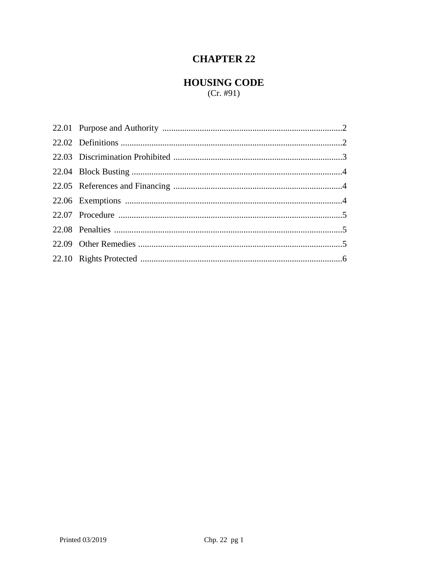# **CHAPTER 22**

# **HOUSING CODE**

 $(Cr. \#91)$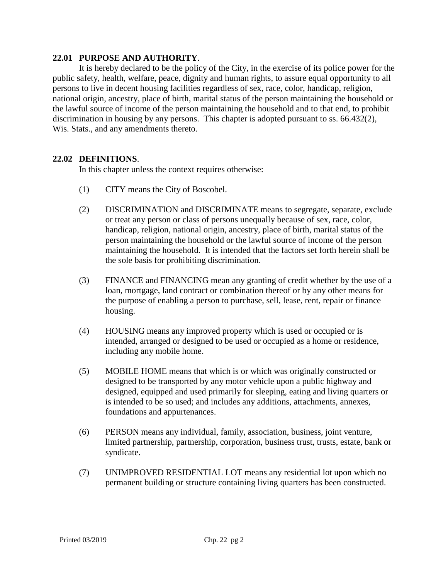#### **22.01 PURPOSE AND AUTHORITY**.

It is hereby declared to be the policy of the City, in the exercise of its police power for the public safety, health, welfare, peace, dignity and human rights, to assure equal opportunity to all persons to live in decent housing facilities regardless of sex, race, color, handicap, religion, national origin, ancestry, place of birth, marital status of the person maintaining the household or the lawful source of income of the person maintaining the household and to that end, to prohibit discrimination in housing by any persons. This chapter is adopted pursuant to ss. 66.432(2), Wis. Stats., and any amendments thereto.

#### **22.02 DEFINITIONS**.

In this chapter unless the context requires otherwise:

- (1) CITY means the City of Boscobel.
- (2) DISCRIMINATION and DISCRIMINATE means to segregate, separate, exclude or treat any person or class of persons unequally because of sex, race, color, handicap, religion, national origin, ancestry, place of birth, marital status of the person maintaining the household or the lawful source of income of the person maintaining the household. It is intended that the factors set forth herein shall be the sole basis for prohibiting discrimination.
- (3) FINANCE and FINANCING mean any granting of credit whether by the use of a loan, mortgage, land contract or combination thereof or by any other means for the purpose of enabling a person to purchase, sell, lease, rent, repair or finance housing.
- (4) HOUSING means any improved property which is used or occupied or is intended, arranged or designed to be used or occupied as a home or residence, including any mobile home.
- (5) MOBILE HOME means that which is or which was originally constructed or designed to be transported by any motor vehicle upon a public highway and designed, equipped and used primarily for sleeping, eating and living quarters or is intended to be so used; and includes any additions, attachments, annexes, foundations and appurtenances.
- (6) PERSON means any individual, family, association, business, joint venture, limited partnership, partnership, corporation, business trust, trusts, estate, bank or syndicate.
- (7) UNIMPROVED RESIDENTIAL LOT means any residential lot upon which no permanent building or structure containing living quarters has been constructed.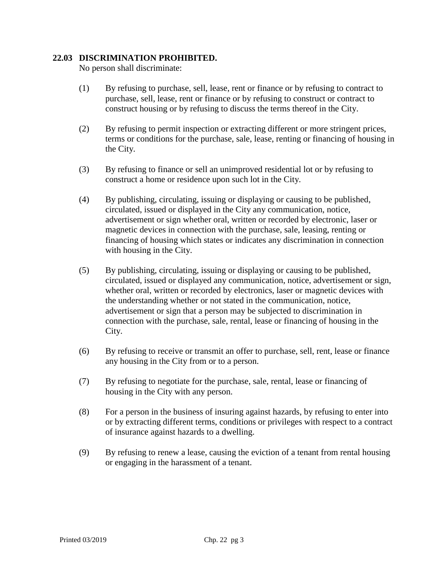# **22.03 DISCRIMINATION PROHIBITED.**

No person shall discriminate:

- (1) By refusing to purchase, sell, lease, rent or finance or by refusing to contract to purchase, sell, lease, rent or finance or by refusing to construct or contract to construct housing or by refusing to discuss the terms thereof in the City.
- (2) By refusing to permit inspection or extracting different or more stringent prices, terms or conditions for the purchase, sale, lease, renting or financing of housing in the City.
- (3) By refusing to finance or sell an unimproved residential lot or by refusing to construct a home or residence upon such lot in the City.
- (4) By publishing, circulating, issuing or displaying or causing to be published, circulated, issued or displayed in the City any communication, notice, advertisement or sign whether oral, written or recorded by electronic, laser or magnetic devices in connection with the purchase, sale, leasing, renting or financing of housing which states or indicates any discrimination in connection with housing in the City.
- (5) By publishing, circulating, issuing or displaying or causing to be published, circulated, issued or displayed any communication, notice, advertisement or sign, whether oral, written or recorded by electronics, laser or magnetic devices with the understanding whether or not stated in the communication, notice, advertisement or sign that a person may be subjected to discrimination in connection with the purchase, sale, rental, lease or financing of housing in the City.
- (6) By refusing to receive or transmit an offer to purchase, sell, rent, lease or finance any housing in the City from or to a person.
- (7) By refusing to negotiate for the purchase, sale, rental, lease or financing of housing in the City with any person.
- (8) For a person in the business of insuring against hazards, by refusing to enter into or by extracting different terms, conditions or privileges with respect to a contract of insurance against hazards to a dwelling.
- (9) By refusing to renew a lease, causing the eviction of a tenant from rental housing or engaging in the harassment of a tenant.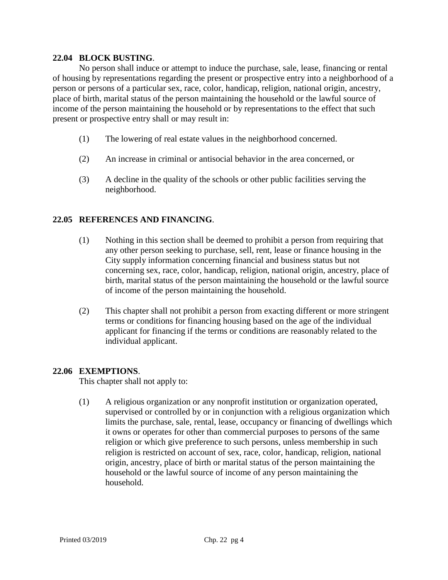# **22.04 BLOCK BUSTING**.

No person shall induce or attempt to induce the purchase, sale, lease, financing or rental of housing by representations regarding the present or prospective entry into a neighborhood of a person or persons of a particular sex, race, color, handicap, religion, national origin, ancestry, place of birth, marital status of the person maintaining the household or the lawful source of income of the person maintaining the household or by representations to the effect that such present or prospective entry shall or may result in:

- (1) The lowering of real estate values in the neighborhood concerned.
- (2) An increase in criminal or antisocial behavior in the area concerned, or
- (3) A decline in the quality of the schools or other public facilities serving the neighborhood.

# **22.05 REFERENCES AND FINANCING**.

- (1) Nothing in this section shall be deemed to prohibit a person from requiring that any other person seeking to purchase, sell, rent, lease or finance housing in the City supply information concerning financial and business status but not concerning sex, race, color, handicap, religion, national origin, ancestry, place of birth, marital status of the person maintaining the household or the lawful source of income of the person maintaining the household.
- (2) This chapter shall not prohibit a person from exacting different or more stringent terms or conditions for financing housing based on the age of the individual applicant for financing if the terms or conditions are reasonably related to the individual applicant.

#### **22.06 EXEMPTIONS**.

This chapter shall not apply to:

(1) A religious organization or any nonprofit institution or organization operated, supervised or controlled by or in conjunction with a religious organization which limits the purchase, sale, rental, lease, occupancy or financing of dwellings which it owns or operates for other than commercial purposes to persons of the same religion or which give preference to such persons, unless membership in such religion is restricted on account of sex, race, color, handicap, religion, national origin, ancestry, place of birth or marital status of the person maintaining the household or the lawful source of income of any person maintaining the household.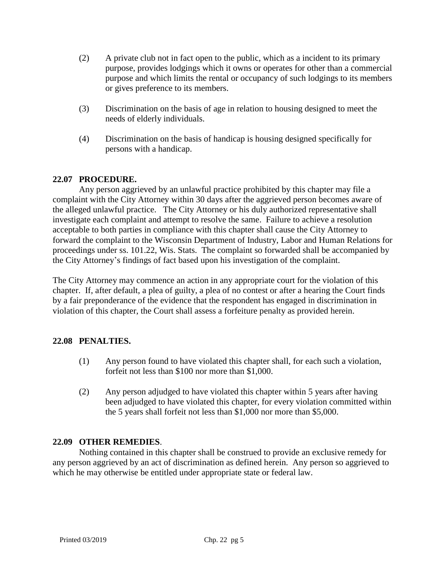- (2) A private club not in fact open to the public, which as a incident to its primary purpose, provides lodgings which it owns or operates for other than a commercial purpose and which limits the rental or occupancy of such lodgings to its members or gives preference to its members.
- (3) Discrimination on the basis of age in relation to housing designed to meet the needs of elderly individuals.
- (4) Discrimination on the basis of handicap is housing designed specifically for persons with a handicap.

# **22.07 PROCEDURE.**

Any person aggrieved by an unlawful practice prohibited by this chapter may file a complaint with the City Attorney within 30 days after the aggrieved person becomes aware of the alleged unlawful practice. The City Attorney or his duly authorized representative shall investigate each complaint and attempt to resolve the same. Failure to achieve a resolution acceptable to both parties in compliance with this chapter shall cause the City Attorney to forward the complaint to the Wisconsin Department of Industry, Labor and Human Relations for proceedings under ss. 101.22, Wis. Stats. The complaint so forwarded shall be accompanied by the City Attorney's findings of fact based upon his investigation of the complaint.

The City Attorney may commence an action in any appropriate court for the violation of this chapter. If, after default, a plea of guilty, a plea of no contest or after a hearing the Court finds by a fair preponderance of the evidence that the respondent has engaged in discrimination in violation of this chapter, the Court shall assess a forfeiture penalty as provided herein.

#### **22.08 PENALTIES.**

- (1) Any person found to have violated this chapter shall, for each such a violation, forfeit not less than \$100 nor more than \$1,000.
- (2) Any person adjudged to have violated this chapter within 5 years after having been adjudged to have violated this chapter, for every violation committed within the 5 years shall forfeit not less than \$1,000 nor more than \$5,000.

#### **22.09 OTHER REMEDIES**.

Nothing contained in this chapter shall be construed to provide an exclusive remedy for any person aggrieved by an act of discrimination as defined herein. Any person so aggrieved to which he may otherwise be entitled under appropriate state or federal law.